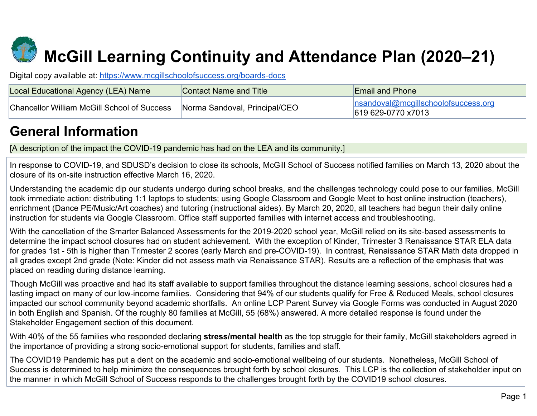# **McGill Learning Continuity and Attendance Plan (2020–21)**

Digital copy available at:<https://www.mcgillschoolofsuccess.org/boards-docs>

| Local Educational Agency (LEA) Name                | Contact Name and Title        | <b>Email and Phone</b>                                            |
|----------------------------------------------------|-------------------------------|-------------------------------------------------------------------|
| <b>Chancellor William McGill School of Success</b> | Norma Sandoval, Principal/CEO | <u> nsandoval@mcgillschoolofsuccess.org</u><br>619 629-0770 x7013 |

# **General Information**

[A description of the impact the COVID-19 pandemic has had on the LEA and its community.]

In response to COVID-19, and SDUSD's decision to close its schools, McGill School of Success notified families on March 13, 2020 about the closure of its on-site instruction effective March 16, 2020.

Understanding the academic dip our students undergo during school breaks, and the challenges technology could pose to our families, McGill took immediate action: distributing 1:1 laptops to students; using Google Classroom and Google Meet to host online instruction (teachers), enrichment (Dance PE/Music/Art coaches) and tutoring (instructional aides). By March 20, 2020, all teachers had begun their daily online instruction for students via Google Classroom. Office staff supported families with internet access and troubleshooting.

With the cancellation of the Smarter Balanced Assessments for the 2019-2020 school year, McGill relied on its site-based assessments to determine the impact school closures had on student achievement. With the exception of Kinder, Trimester 3 Renaissance STAR ELA data for grades 1st - 5th is higher than Trimester 2 scores (early March and pre-COVID-19). In contrast, Renaissance STAR Math data dropped in all grades except 2nd grade (Note: Kinder did not assess math via Renaissance STAR). Results are a reflection of the emphasis that was placed on reading during distance learning.

Though McGill was proactive and had its staff available to support families throughout the distance learning sessions, school closures had a lasting impact on many of our low-income families. Considering that 94% of our students qualify for Free & Reduced Meals, school closures impacted our school community beyond academic shortfalls. An online LCP Parent Survey via Google Forms was conducted in August 2020 in both English and Spanish. Of the roughly 80 families at McGill, 55 (68%) answered. A more detailed response is found under the Stakeholder Engagement section of this document.

With 40% of the 55 families who responded declaring **stress/mental health** as the top struggle for their family, McGill stakeholders agreed in the importance of providing a strong socio-emotional support for students, families and staff.

The COVID19 Pandemic has put a dent on the academic and socio-emotional wellbeing of our students. Nonetheless, McGill School of Success is determined to help minimize the consequences brought forth by school closures. This LCP is the collection of stakeholder input on the manner in which McGill School of Success responds to the challenges brought forth by the COVID19 school closures.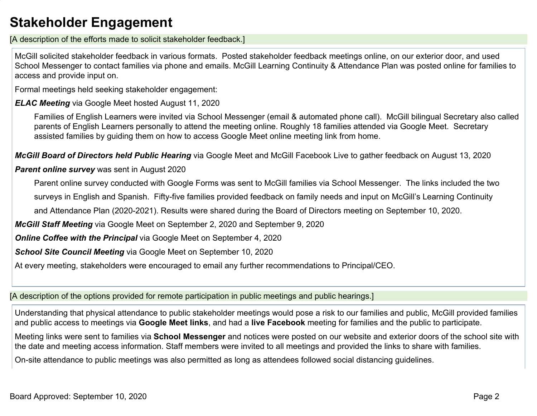# **Stakeholder Engagement**

[A description of the efforts made to solicit stakeholder feedback.]

McGill solicited stakeholder feedback in various formats. Posted stakeholder feedback meetings online, on our exterior door, and used School Messenger to contact families via phone and emails. McGill Learning Continuity & Attendance Plan was posted online for families to access and provide input on.

Formal meetings held seeking stakeholder engagement:

*ELAC Meeting* via Google Meet hosted August 11, 2020

Families of English Learners were invited via School Messenger (email & automated phone call). McGill bilingual Secretary also called parents of English Learners personally to attend the meeting online. Roughly 18 families attended via Google Meet. Secretary assisted families by guiding them on how to access Google Meet online meeting link from home.

*McGill Board of Directors held Public Hearing* via Google Meet and McGill Facebook Live to gather feedback on August 13, 2020

*Parent online survey* was sent in August 2020

Parent online survey conducted with Google Forms was sent to McGill families via School Messenger. The links included the two

surveys in English and Spanish. Fifty-five families provided feedback on family needs and input on McGill's Learning Continuity

and Attendance Plan (2020-2021). Results were shared during the Board of Directors meeting on September 10, 2020.

*McGill Staff Meeting* via Google Meet on September 2, 2020 and September 9, 2020

*Online Coffee with the Principal* via Google Meet on September 4, 2020

*School Site Council Meeting* via Google Meet on September 10, 2020

At every meeting, stakeholders were encouraged to email any further recommendations to Principal/CEO.

[A description of the options provided for remote participation in public meetings and public hearings.]

Understanding that physical attendance to public stakeholder meetings would pose a risk to our families and public, McGill provided families and public access to meetings via **Google Meet links**, and had a **live Facebook** meeting for families and the public to participate.

Meeting links were sent to families via **School Messenger** and notices were posted on our website and exterior doors of the school site with the date and meeting access information. Staff members were invited to all meetings and provided the links to share with families.

On-site attendance to public meetings was also permitted as long as attendees followed social distancing guidelines.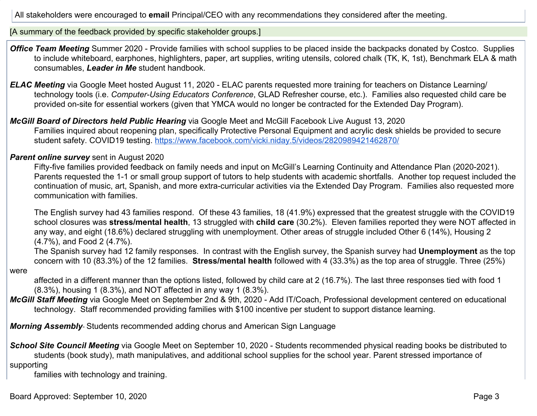All stakeholders were encouraged to **email** Principal/CEO with any recommendations they considered after the meeting.

[A summary of the feedback provided by specific stakeholder groups.]

- **Office Team Meeting** Summer 2020 Provide families with school supplies to be placed inside the backpacks donated by Costco. Supplies to include whiteboard, earphones, highlighters, paper, art supplies, writing utensils, colored chalk (TK, K, 1st), Benchmark ELA & math consumables, *Leader in Me* student handbook.
- *ELAC Meeting* via Google Meet hosted August 11, 2020 ELAC parents requested more training for teachers on Distance Learning/ technology tools (i.e. *Computer-Using Educators Conference*, GLAD Refresher course, etc.). Families also requested child care be provided on-site for essential workers (given that YMCA would no longer be contracted for the Extended Day Program).
- *McGill Board of Directors held Public Hearing* via Google Meet and McGill Facebook Live August 13, 2020 Families inquired about reopening plan, specifically Protective Personal Equipment and acrylic desk shields be provided to secure student safety. COVID19 testing. <https://www.facebook.com/vicki.niday.5/videos/2820989421462870/>

#### *Parent online survey* sent in August 2020

Fifty-five families provided feedback on family needs and input on McGill's Learning Continuity and Attendance Plan (2020-2021). Parents requested the 1-1 or small group support of tutors to help students with academic shortfalls. Another top request included the continuation of music, art, Spanish, and more extra-curricular activities via the Extended Day Program. Families also requested more communication with families.

The English survey had 43 families respond. Of these 43 families, 18 (41.9%) expressed that the greatest struggle with the COVID19 school closures was **stress/mental health**, 13 struggled with **child care** (30.2%). Eleven families reported they were NOT affected in any way, and eight (18.6%) declared struggling with unemployment. Other areas of struggle included Other 6 (14%), Housing 2 (4.7%), and Food 2 (4.7%).

The Spanish survey had 12 family responses. In contrast with the English survey, the Spanish survey had **Unemployment** as the top concern with 10 (83.3%) of the 12 families. **Stress/mental health** followed with 4 (33.3%) as the top area of struggle. Three (25%)

affected in a different manner than the options listed, followed by child care at 2 (16.7%). The last three responses tied with food 1 (8.3%), housing 1 (8.3%), and NOT affected in any way 1 (8.3%).

*McGill Staff Meeting* via Google Meet on September 2nd & 9th, 2020 - Add IT/Coach, Professional development centered on educational technology. Staff recommended providing families with \$100 incentive per student to support distance learning.

*Morning Assembly*- Students recommended adding chorus and American Sign Language

*School Site Council Meeting* via Google Meet on September 10, 2020 - Students recommended physical reading books be distributed to students (book study), math manipulatives, and additional school supplies for the school year. Parent stressed importance of supporting

families with technology and training.

were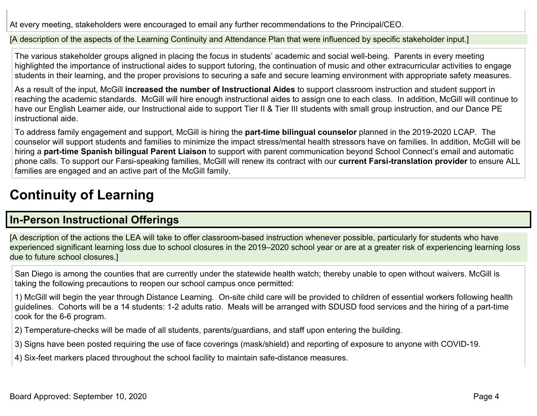At every meeting, stakeholders were encouraged to email any further recommendations to the Principal/CEO.

[A description of the aspects of the Learning Continuity and Attendance Plan that were influenced by specific stakeholder input.]

The various stakeholder groups aligned in placing the focus in students' academic and social well-being. Parents in every meeting highlighted the importance of instructional aides to support tutoring, the continuation of music and other extracurricular activities to engage students in their learning, and the proper provisions to securing a safe and secure learning environment with appropriate safety measures.

As a result of the input, McGill **increased the number of Instructional Aides** to support classroom instruction and student support in reaching the academic standards. McGill will hire enough instructional aides to assign one to each class. In addition, McGill will continue to have our English Learner aide, our Instructional aide to support Tier II & Tier III students with small group instruction, and our Dance PE instructional aide.

To address family engagement and support, McGill is hiring the **part-time bilingual counselor** planned in the 2019-2020 LCAP. The counselor will support students and families to minimize the impact stress/mental health stressors have on families. In addition, McGill will be hiring a **part-time Spanish bilingual Parent Liaison** to support with parent communication beyond School Connect's email and automatic phone calls. To support our Farsi-speaking families, McGill will renew its contract with our **current Farsi-translation provider** to ensure ALL families are engaged and an active part of the McGill family.

# **Continuity of Learning**

#### **In-Person Instructional Offerings**

[A description of the actions the LEA will take to offer classroom-based instruction whenever possible, particularly for students who have experienced significant learning loss due to school closures in the 2019–2020 school year or are at a greater risk of experiencing learning loss due to future school closures.]

San Diego is among the counties that are currently under the statewide health watch; thereby unable to open without waivers. McGill is taking the following precautions to reopen our school campus once permitted:

1) McGill will begin the year through Distance Learning. On-site child care will be provided to children of essential workers following health guidelines. Cohorts will be a 14 students: 1-2 adults ratio. Meals will be arranged with SDUSD food services and the hiring of a part-time cook for the 6-6 program.

2) Temperature-checks will be made of all students, parents/guardians, and staff upon entering the building.

3) Signs have been posted requiring the use of face coverings (mask/shield) and reporting of exposure to anyone with COVID-19.

4) Six-feet markers placed throughout the school facility to maintain safe-distance measures.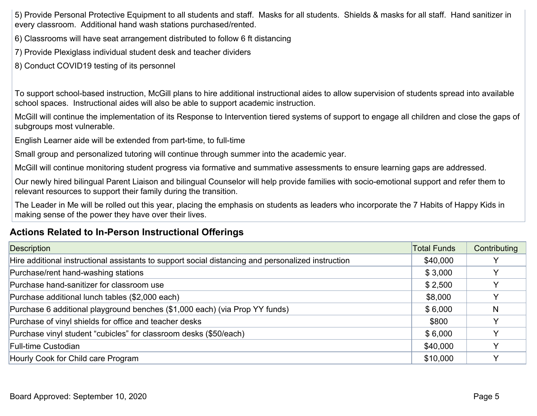5) Provide Personal Protective Equipment to all students and staff. Masks for all students. Shields & masks for all staff. Hand sanitizer in every classroom. Additional hand wash stations purchased/rented.

- 6) Classrooms will have seat arrangement distributed to follow 6 ft distancing
- 7) Provide Plexiglass individual student desk and teacher dividers
- 8) Conduct COVID19 testing of its personnel

To support school-based instruction, McGill plans to hire additional instructional aides to allow supervision of students spread into available school spaces. Instructional aides will also be able to support academic instruction.

McGill will continue the implementation of its Response to Intervention tiered systems of support to engage all children and close the gaps of subgroups most vulnerable.

English Learner aide will be extended from part-time, to full-time

Small group and personalized tutoring will continue through summer into the academic year.

McGill will continue monitoring student progress via formative and summative assessments to ensure learning gaps are addressed.

Our newly hired bilingual Parent Liaison and bilingual Counselor will help provide families with socio-emotional support and refer them to relevant resources to support their family during the transition.

The Leader in Me will be rolled out this year, placing the emphasis on students as leaders who incorporate the 7 Habits of Happy Kids in making sense of the power they have over their lives.

#### **Actions Related to In-Person Instructional Offerings**

| <b>Description</b>                                                                                 | <b>Total Funds</b> | Contributing |
|----------------------------------------------------------------------------------------------------|--------------------|--------------|
| Hire additional instructional assistants to support social distancing and personalized instruction | \$40,000           |              |
| Purchase/rent hand-washing stations                                                                | \$3,000            |              |
| Purchase hand-sanitizer for classroom use                                                          | \$2,500            |              |
| Purchase additional lunch tables (\$2,000 each)                                                    | \$8,000            |              |
| Purchase 6 additional playground benches (\$1,000 each) (via Prop YY funds)                        | \$6,000            | N            |
| Purchase of vinyl shields for office and teacher desks                                             | \$800              |              |
| Purchase vinyl student "cubicles" for classroom desks (\$50/each)                                  | \$6,000            |              |
| <b>Full-time Custodian</b>                                                                         | \$40,000           |              |
| Hourly Cook for Child care Program                                                                 | \$10,000           |              |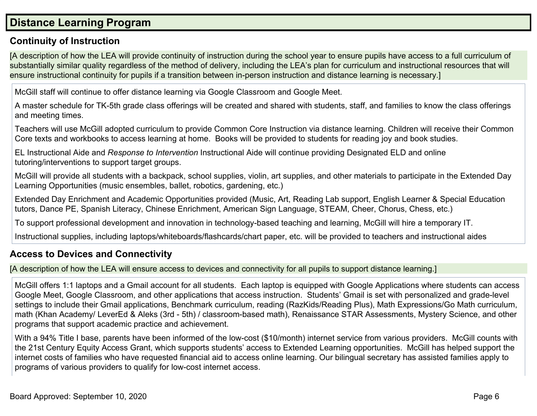#### **Distance Learning Program**

#### **Continuity of Instruction**

[A description of how the LEA will provide continuity of instruction during the school year to ensure pupils have access to a full curriculum of substantially similar quality regardless of the method of delivery, including the LEA's plan for curriculum and instructional resources that will ensure instructional continuity for pupils if a transition between in-person instruction and distance learning is necessary.]

McGill staff will continue to offer distance learning via Google Classroom and Google Meet.

A master schedule for TK-5th grade class offerings will be created and shared with students, staff, and families to know the class offerings and meeting times.

Teachers will use McGill adopted curriculum to provide Common Core Instruction via distance learning. Children will receive their Common Core texts and workbooks to access learning at home. Books will be provided to students for reading joy and book studies.

EL Instructional Aide and *Response to Intervention* Instructional Aide will continue providing Designated ELD and online tutoring/interventions to support target groups.

McGill will provide all students with a backpack, school supplies, violin, art supplies, and other materials to participate in the Extended Day Learning Opportunities (music ensembles, ballet, robotics, gardening, etc.)

Extended Day Enrichment and Academic Opportunities provided (Music, Art, Reading Lab support, English Learner & Special Education tutors, Dance PE, Spanish Literacy, Chinese Enrichment, American Sign Language, STEAM, Cheer, Chorus, Chess, etc.)

To support professional development and innovation in technology-based teaching and learning, McGill will hire a temporary IT.

Instructional supplies, including laptops/whiteboards/flashcards/chart paper, etc. will be provided to teachers and instructional aides

#### **Access to Devices and Connectivity**

[A description of how the LEA will ensure access to devices and connectivity for all pupils to support distance learning.]

McGill offers 1:1 laptops and a Gmail account for all students. Each laptop is equipped with Google Applications where students can access Google Meet, Google Classroom, and other applications that access instruction. Students' Gmail is set with personalized and grade-level settings to include their Gmail applications, Benchmark curriculum, reading (RazKids/Reading Plus), Math Expressions/Go Math curriculum, math (Khan Academy/ LeverEd & Aleks (3rd - 5th) / classroom-based math), Renaissance STAR Assessments, Mystery Science, and other programs that support academic practice and achievement.

With a 94% Title I base, parents have been informed of the low-cost (\$10/month) internet service from various providers. McGill counts with the 21st Century Equity Access Grant, which supports students' access to Extended Learning opportunities. McGill has helped support the internet costs of families who have requested financial aid to access online learning. Our bilingual secretary has assisted families apply to programs of various providers to qualify for low-cost internet access.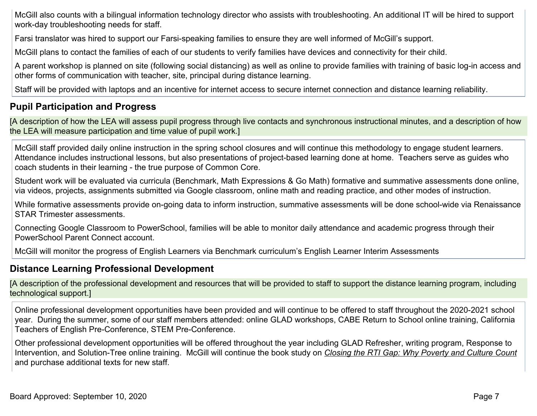McGill also counts with a bilingual information technology director who assists with troubleshooting. An additional IT will be hired to support work-day troubleshooting needs for staff.

Farsi translator was hired to support our Farsi-speaking families to ensure they are well informed of McGill's support.

McGill plans to contact the families of each of our students to verify families have devices and connectivity for their child.

A parent workshop is planned on site (following social distancing) as well as online to provide families with training of basic log-in access and other forms of communication with teacher, site, principal during distance learning.

Staff will be provided with laptops and an incentive for internet access to secure internet connection and distance learning reliability.

#### **Pupil Participation and Progress**

[A description of how the LEA will assess pupil progress through live contacts and synchronous instructional minutes, and a description of how the LEA will measure participation and time value of pupil work.]

McGill staff provided daily online instruction in the spring school closures and will continue this methodology to engage student learners. Attendance includes instructional lessons, but also presentations of project-based learning done at home. Teachers serve as guides who coach students in their learning - the true purpose of Common Core.

Student work will be evaluated via curricula (Benchmark, Math Expressions & Go Math) formative and summative assessments done online, via videos, projects, assignments submitted via Google classroom, online math and reading practice, and other modes of instruction.

While formative assessments provide on-going data to inform instruction, summative assessments will be done school-wide via Renaissance STAR Trimester assessments.

Connecting Google Classroom to PowerSchool, families will be able to monitor daily attendance and academic progress through their PowerSchool Parent Connect account.

McGill will monitor the progress of English Learners via Benchmark curriculum's English Learner Interim Assessments

#### **Distance Learning Professional Development**

[A description of the professional development and resources that will be provided to staff to support the distance learning program, including technological support.]

Online professional development opportunities have been provided and will continue to be offered to staff throughout the 2020-2021 school year. During the summer, some of our staff members attended: online GLAD workshops, CABE Return to School online training, California Teachers of English Pre-Conference, STEM Pre-Conference.

Other professional development opportunities will be offered throughout the year including GLAD Refresher, writing program, Response to Intervention, and Solution-Tree online training. McGill will continue the book study on *Closing the RTI Gap: Why Poverty and Culture Count* and purchase additional texts for new staff.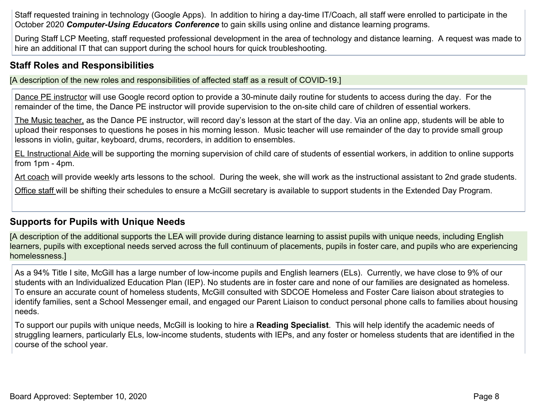Staff requested training in technology (Google Apps). In addition to hiring a day-time IT/Coach, all staff were enrolled to participate in the October 2020 *Computer-Using Educators Conference* to gain skills using online and distance learning programs.

During Staff LCP Meeting, staff requested professional development in the area of technology and distance learning. A request was made to hire an additional IT that can support during the school hours for quick troubleshooting.

#### **Staff Roles and Responsibilities**

[A description of the new roles and responsibilities of affected staff as a result of COVID-19.]

Dance PE instructor will use Google record option to provide a 30-minute daily routine for students to access during the day. For the remainder of the time, the Dance PE instructor will provide supervision to the on-site child care of children of essential workers.

The Music teacher, as the Dance PE instructor, will record day's lesson at the start of the day. Via an online app, students will be able to upload their responses to questions he poses in his morning lesson. Music teacher will use remainder of the day to provide small group lessons in violin, guitar, keyboard, drums, recorders, in addition to ensembles.

EL Instructional Aide will be supporting the morning supervision of child care of students of essential workers, in addition to online supports from 1pm - 4pm.

Art coach will provide weekly arts lessons to the school. During the week, she will work as the instructional assistant to 2nd grade students.

Office staff will be shifting their schedules to ensure a McGill secretary is available to support students in the Extended Day Program.

#### **Supports for Pupils with Unique Needs**

[A description of the additional supports the LEA will provide during distance learning to assist pupils with unique needs, including English learners, pupils with exceptional needs served across the full continuum of placements, pupils in foster care, and pupils who are experiencing homelessness.]

As a 94% Title I site, McGill has a large number of low-income pupils and English learners (ELs). Currently, we have close to 9% of our students with an Individualized Education Plan (IEP). No students are in foster care and none of our families are designated as homeless. To ensure an accurate count of homeless students, McGill consulted with SDCOE Homeless and Foster Care liaison about strategies to identify families, sent a School Messenger email, and engaged our Parent Liaison to conduct personal phone calls to families about housing needs.

To support our pupils with unique needs, McGill is looking to hire a **Reading Specialist**. This will help identify the academic needs of struggling learners, particularly ELs, low-income students, students with IEPs, and any foster or homeless students that are identified in the course of the school year.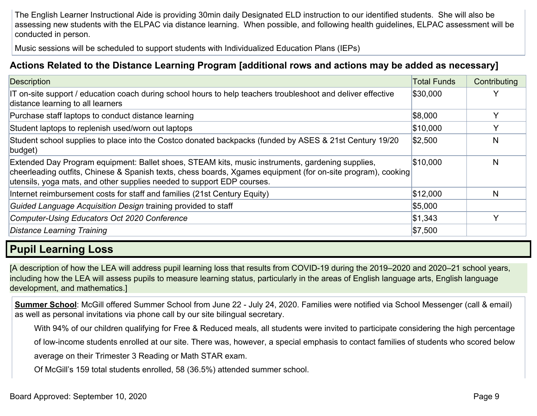The English Learner Instructional Aide is providing 30min daily Designated ELD instruction to our identified students. She will also be assessing new students with the ELPAC via distance learning. When possible, and following health guidelines, ELPAC assessment will be conducted in person.

Music sessions will be scheduled to support students with Individualized Education Plans (IEPs)

#### **Actions Related to the Distance Learning Program [additional rows and actions may be added as necessary]**

| <b>Description</b>                                                                                                                                                                                                                                                                         | <b>Total Funds</b> | Contributing |
|--------------------------------------------------------------------------------------------------------------------------------------------------------------------------------------------------------------------------------------------------------------------------------------------|--------------------|--------------|
| IT on-site support / education coach during school hours to help teachers troubleshoot and deliver effective<br>distance learning to all learners                                                                                                                                          | \$30,000           | v            |
| Purchase staff laptops to conduct distance learning                                                                                                                                                                                                                                        | \$8,000            | Y            |
| Student laptops to replenish used/worn out laptops                                                                                                                                                                                                                                         | \$10,000           | V            |
| Student school supplies to place into the Costco donated backpacks (funded by ASES & 21st Century 19/20<br>budget)                                                                                                                                                                         | \$2,500            | N            |
| Extended Day Program equipment: Ballet shoes, STEAM kits, music instruments, gardening supplies,<br>cheerleading outfits, Chinese & Spanish texts, chess boards, Xgames equipment (for on-site program), cooking<br>utensils, yoga mats, and other supplies needed to support EDP courses. | \$10,000           | N            |
| Internet reimbursement costs for staff and families (21st Century Equity)                                                                                                                                                                                                                  | \$12,000           | N            |
| Guided Language Acquisition Design training provided to staff                                                                                                                                                                                                                              | \$5,000            |              |
| Computer-Using Educators Oct 2020 Conference                                                                                                                                                                                                                                               | \$1,343            | $\checkmark$ |
| Distance Learning Training                                                                                                                                                                                                                                                                 | \$7,500            |              |

#### **Pupil Learning Loss**

[A description of how the LEA will address pupil learning loss that results from COVID-19 during the 2019–2020 and 2020–21 school years, including how the LEA will assess pupils to measure learning status, particularly in the areas of English language arts, English language development, and mathematics.]

**Summer School**: McGill offered Summer School from June 22 - July 24, 2020. Families were notified via School Messenger (call & email) as well as personal invitations via phone call by our site bilingual secretary.

With 94% of our children qualifying for Free & Reduced meals, all students were invited to participate considering the high percentage

of low-income students enrolled at our site. There was, however, a special emphasis to contact families of students who scored below

average on their Trimester 3 Reading or Math STAR exam.

Of McGill's 159 total students enrolled, 58 (36.5%) attended summer school.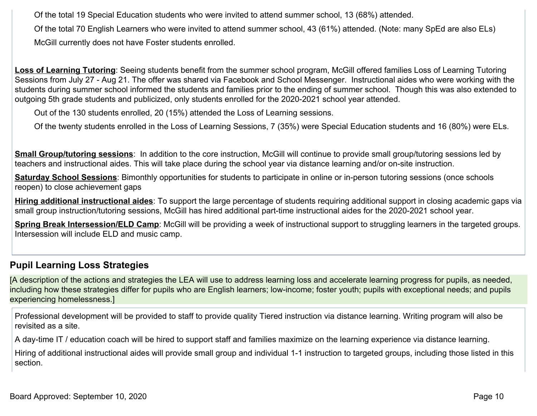Of the total 19 Special Education students who were invited to attend summer school, 13 (68%) attended.

Of the total 70 English Learners who were invited to attend summer school, 43 (61%) attended. (Note: many SpEd are also ELs) McGill currently does not have Foster students enrolled.

Loss of Learning Tutoring: Seeing students benefit from the summer school program, McGill offered families Loss of Learning Tutoring Sessions from July 27 - Aug 21. The offer was shared via Facebook and School Messenger. Instructional aides who were working with the students during summer school informed the students and families prior to the ending of summer school. Though this was also extended to outgoing 5th grade students and publicized, only students enrolled for the 2020-2021 school year attended.

Out of the 130 students enrolled, 20 (15%) attended the Loss of Learning sessions.

Of the twenty students enrolled in the Loss of Learning Sessions, 7 (35%) were Special Education students and 16 (80%) were ELs.

**Small Group/tutoring sessions**: In addition to the core instruction, McGill will continue to provide small group/tutoring sessions led by teachers and instructional aides. This will take place during the school year via distance learning and/or on-site instruction.

**Saturday School Sessions**: Bimonthly opportunities for students to participate in online or in-person tutoring sessions (once schools reopen) to close achievement gaps

**Hiring additional instructional aides**: To support the large percentage of students requiring additional support in closing academic gaps via small group instruction/tutoring sessions, McGill has hired additional part-time instructional aides for the 2020-2021 school year.

**Spring Break Intersession/ELD Camp**: McGill will be providing a week of instructional support to struggling learners in the targeted groups. Intersession will include ELD and music camp.

#### **Pupil Learning Loss Strategies**

[A description of the actions and strategies the LEA will use to address learning loss and accelerate learning progress for pupils, as needed, including how these strategies differ for pupils who are English learners; low-income; foster youth; pupils with exceptional needs; and pupils experiencing homelessness.]

Professional development will be provided to staff to provide quality Tiered instruction via distance learning. Writing program will also be revisited as a site.

A day-time IT / education coach will be hired to support staff and families maximize on the learning experience via distance learning.

Hiring of additional instructional aides will provide small group and individual 1-1 instruction to targeted groups, including those listed in this section.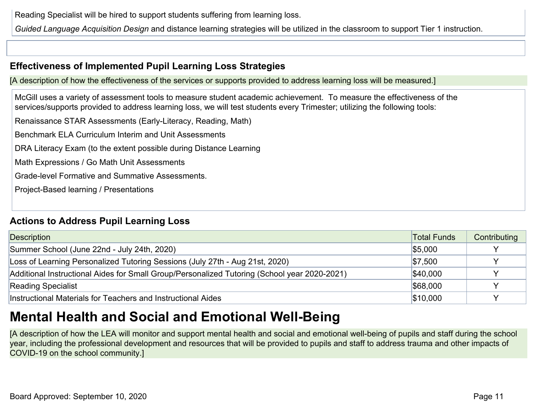Reading Specialist will be hired to support students suffering from learning loss.

*Guided Language Acquisition Design* and distance learning strategies will be utilized in the classroom to support Tier 1 instruction.

#### **Effectiveness of Implemented Pupil Learning Loss Strategies**

[A description of how the effectiveness of the services or supports provided to address learning loss will be measured.]

McGill uses a variety of assessment tools to measure student academic achievement. To measure the effectiveness of the services/supports provided to address learning loss, we will test students every Trimester; utilizing the following tools:

Renaissance STAR Assessments (Early-Literacy, Reading, Math)

Benchmark ELA Curriculum Interim and Unit Assessments

DRA Literacy Exam (to the extent possible during Distance Learning

Math Expressions / Go Math Unit Assessments

Grade-level Formative and Summative Assessments.

Project-Based learning / Presentations

#### **Actions to Address Pupil Learning Loss**

| <b>Description</b>                                                                           | <b>Total Funds</b> | Contributing |
|----------------------------------------------------------------------------------------------|--------------------|--------------|
| Summer School (June 22nd - July 24th, 2020)                                                  | \$5,000            |              |
| Loss of Learning Personalized Tutoring Sessions (July 27th - Aug 21st, 2020)                 | $\$7,500$          |              |
| Additional Instructional Aides for Small Group/Personalized Tutoring (School year 2020-2021) | \$40,000           |              |
| <b>Reading Specialist</b>                                                                    | \$68,000           |              |
| Instructional Materials for Teachers and Instructional Aides                                 | \$10,000           |              |

# **Mental Health and Social and Emotional Well-Being**

[A description of how the LEA will monitor and support mental health and social and emotional well-being of pupils and staff during the school year, including the professional development and resources that will be provided to pupils and staff to address trauma and other impacts of COVID-19 on the school community.]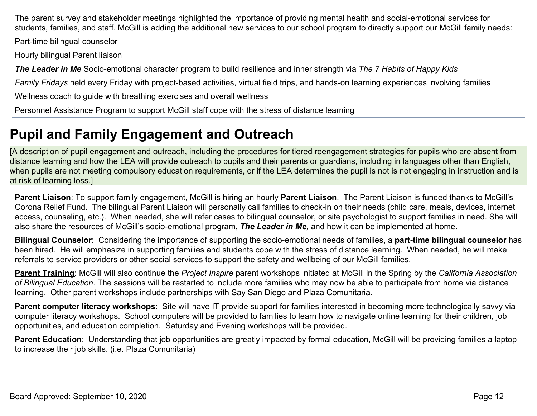The parent survey and stakeholder meetings highlighted the importance of providing mental health and social-emotional services for students, families, and staff. McGill is adding the additional new services to our school program to directly support our McGill family needs:

Part-time bilingual counselor

Hourly bilingual Parent liaison

*The Leader in Me* Socio-emotional character program to build resilience and inner strength via *The 7 Habits of Happy Kids*

*Family Fridays* held every Friday with project-based activities, virtual field trips, and hands-on learning experiences involving families

Wellness coach to guide with breathing exercises and overall wellness

Personnel Assistance Program to support McGill staff cope with the stress of distance learning

# **Pupil and Family Engagement and Outreach**

[A description of pupil engagement and outreach, including the procedures for tiered reengagement strategies for pupils who are absent from distance learning and how the LEA will provide outreach to pupils and their parents or guardians, including in languages other than English, when pupils are not meeting compulsory education requirements, or if the LEA determines the pupil is not is not engaging in instruction and is at risk of learning loss.]

**Parent Liaison**: To support family engagement, McGill is hiring an hourly **Parent Liaison**. The Parent Liaison is funded thanks to McGill's Corona Relief Fund. The bilingual Parent Liaison will personally call families to check-in on their needs (child care, meals, devices, internet access, counseling, etc.). When needed, she will refer cases to bilingual counselor, or site psychologist to support families in need. She will also share the resources of McGill's socio-emotional program, *The Leader in Me,* and how it can be implemented at home.

**Bilingual Counselor**: Considering the importance of supporting the socio-emotional needs of families, a **part-time bilingual counselor** has been hired. He will emphasize in supporting families and students cope with the stress of distance learning. When needed, he will make referrals to service providers or other social services to support the safety and wellbeing of our McGill families.

**Parent Training**: McGill will also continue the *Project Inspire* parent workshops initiated at McGill in the Spring by the *California Association of Bilingual Education*. The sessions will be restarted to include more families who may now be able to participate from home via distance learning. Other parent workshops include partnerships with Say San Diego and Plaza Comunitaria.

**Parent computer literacy workshops**: Site will have IT provide support for families interested in becoming more technologically savvy via computer literacy workshops. School computers will be provided to families to learn how to navigate online learning for their children, job opportunities, and education completion. Saturday and Evening workshops will be provided.

**Parent Education**: Understanding that job opportunities are greatly impacted by formal education, McGill will be providing families a laptop to increase their job skills. (i.e. Plaza Comunitaria)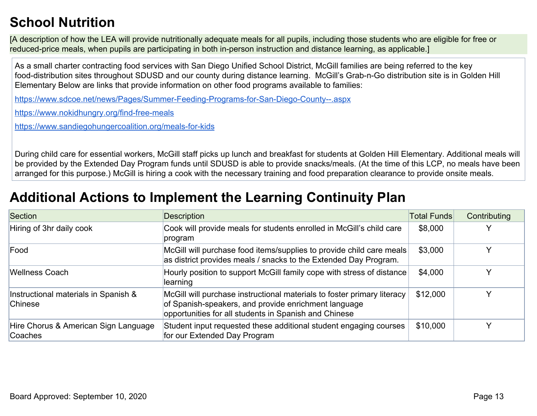# **School Nutrition**

[A description of how the LEA will provide nutritionally adequate meals for all pupils, including those students who are eligible for free or reduced-price meals, when pupils are participating in both in-person instruction and distance learning, as applicable.]

As a small charter contracting food services with San Diego Unified School District, McGill families are being referred to the key food-distribution sites throughout SDUSD and our county during distance learning. McGill's Grab-n-Go distribution site is in Golden Hill Elementary Below are links that provide information on other food programs available to families:

<https://www.sdcoe.net/news/Pages/Summer-Feeding-Programs-for-San-Diego-County--.aspx>

<https://www.nokidhungry.org/find-free-meals>

<https://www.sandiegohungercoalition.org/meals-for-kids>

During child care for essential workers, McGill staff picks up lunch and breakfast for students at Golden Hill Elementary. Additional meals will be provided by the Extended Day Program funds until SDUSD is able to provide snacks/meals. (At the time of this LCP, no meals have been arranged for this purpose.) McGill is hiring a cook with the necessary training and food preparation clearance to provide onsite meals.

# **Additional Actions to Implement the Learning Continuity Plan**

| Section                                         | <b>Description</b>                                                                                                                                                                       | <b>Total Funds</b> | Contributing |
|-------------------------------------------------|------------------------------------------------------------------------------------------------------------------------------------------------------------------------------------------|--------------------|--------------|
| Hiring of 3hr daily cook                        | Cook will provide meals for students enrolled in McGill's child care<br>program                                                                                                          | \$8,000            |              |
| Food                                            | McGill will purchase food items/supplies to provide child care meals<br>as district provides meals / snacks to the Extended Day Program.                                                 | \$3,000            |              |
| <b>Wellness Coach</b>                           | Hourly position to support McGill family cope with stress of distance<br>learning                                                                                                        | \$4,000            |              |
| Instructional materials in Spanish &<br>Chinese | McGill will purchase instructional materials to foster primary literacy<br>of Spanish-speakers, and provide enrichment language<br>opportunities for all students in Spanish and Chinese | \$12,000           |              |
| Hire Chorus & American Sign Language<br>Coaches | Student input requested these additional student engaging courses<br>for our Extended Day Program                                                                                        | \$10,000           |              |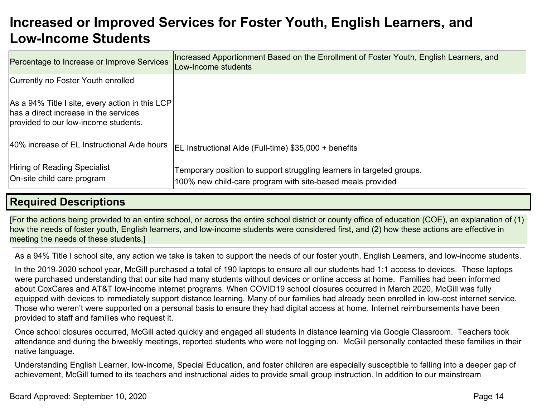## **Increased or Improved Services for Foster Youth, English Learners, and Low-Income Students**

| Percentage to Increase or Improve Services                                                                                       | Increased Apportionment Based on the Enrollment of Foster Youth, English Learners, and<br>Low-Income students                       |
|----------------------------------------------------------------------------------------------------------------------------------|-------------------------------------------------------------------------------------------------------------------------------------|
| Currently no Foster Youth enrolled                                                                                               |                                                                                                                                     |
| As a 94% Title I site, every action in this LCP<br>has a direct increase in the services<br>provided to our low-income students. |                                                                                                                                     |
| 40% increase of EL Instructional Aide hours                                                                                      | EL Instructional Aide (Full-time) \$35,000 + benefits                                                                               |
| Hiring of Reading Specialist<br>On-site child care program                                                                       | Temporary position to support struggling learners in targeted groups.<br>100% new child-care program with site-based meals provided |

#### **Required Descriptions**

[For the actions being provided to an entire school, or across the entire school district or county office of education (COE), an explanation of (1) how the needs of foster youth, English learners, and low-income students were considered first, and (2) how these actions are effective in meeting the needs of these students.]

As a 94% Title I school site, any action we take is taken to support the needs of our foster youth, English Learners, and low-income students.

In the 2019-2020 school year, McGill purchased a total of 190 laptops to ensure all our students had 1:1 access to devices. These laptops were purchased understanding that our site had many students without devices or online access at home. Families had been informed about CoxCares and AT&T low-income internet programs. When COVID19 school closures occurred in March 2020, McGill was fully equipped with devices to immediately support distance learning. Many of our families had already been enrolled in low-cost internet service. Those who weren't were supported on a personal basis to ensure they had digital access at home. Internet reimbursements have been provided to staff and families who request it.

Once school closures occurred, McGill acted quickly and engaged all students in distance learning via Google Classroom. Teachers took attendance and during the biweekly meetings, reported students who were not logging on. McGill personally contacted these families in their native language.

Understanding English Learner, low-income, Special Education, and foster children are especially susceptible to falling into a deeper gap of achievement, McGill turned to its teachers and instructional aides to provide small group instruction. In addition to our mainstream